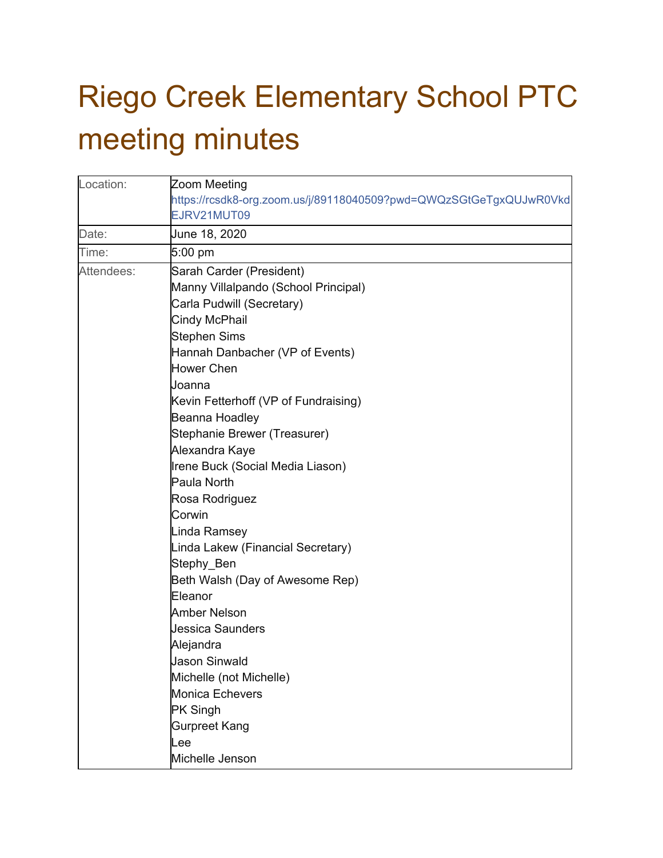## Riego Creek Elementary School PTC meeting minutes

| Location:  | Zoom Meeting                                                       |
|------------|--------------------------------------------------------------------|
|            | https://rcsdk8-org.zoom.us/j/89118040509?pwd=QWQzSGtGeTgxQUJwR0Vkd |
|            | EJRV21MUT09                                                        |
| Date:      | June 18, 2020                                                      |
| Time:      | 5:00 pm                                                            |
| Attendees: | Sarah Carder (President)                                           |
|            | Manny Villalpando (School Principal)                               |
|            | Carla Pudwill (Secretary)                                          |
|            | Cindy McPhail                                                      |
|            | <b>Stephen Sims</b>                                                |
|            | Hannah Danbacher (VP of Events)                                    |
|            | <b>Hower Chen</b>                                                  |
|            | Joanna                                                             |
|            | Kevin Fetterhoff (VP of Fundraising)                               |
|            | Beanna Hoadley                                                     |
|            | Stephanie Brewer (Treasurer)                                       |
|            | Alexandra Kaye                                                     |
|            | Irene Buck (Social Media Liason)                                   |
|            | Paula North                                                        |
|            | Rosa Rodriguez                                                     |
|            | Corwin                                                             |
|            | Linda Ramsey                                                       |
|            | Linda Lakew (Financial Secretary)                                  |
|            | Stephy_Ben                                                         |
|            | Beth Walsh (Day of Awesome Rep)                                    |
|            | Eleanor                                                            |
|            | <b>Amber Nelson</b>                                                |
|            | <b>Jessica Saunders</b>                                            |
|            | Alejandra                                                          |
|            | <b>Jason Sinwald</b>                                               |
|            | Michelle (not Michelle)                                            |
|            | Monica Echevers                                                    |
|            | <b>PK Singh</b>                                                    |
|            | <b>Gurpreet Kang</b>                                               |
|            | Lee                                                                |
|            | Michelle Jenson                                                    |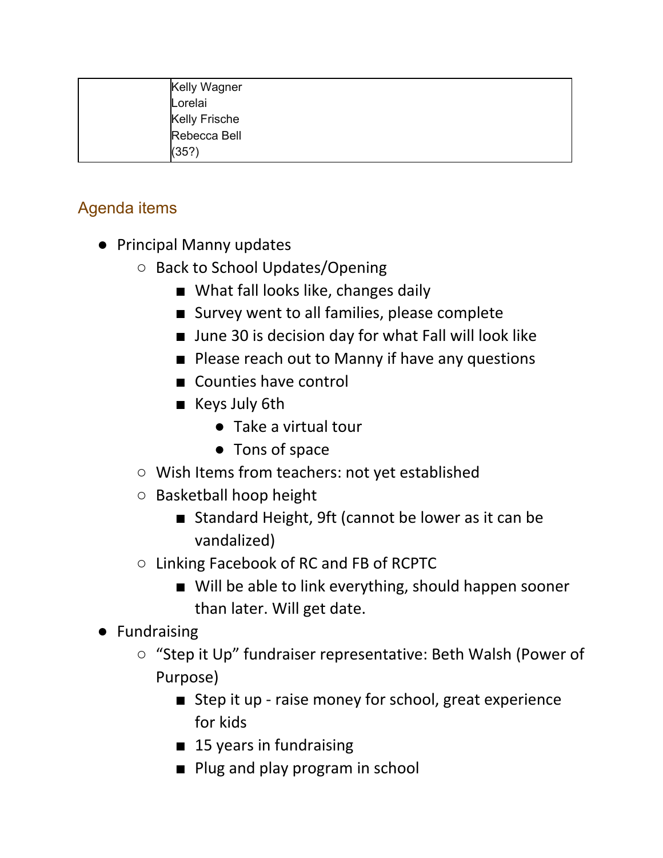| Kelly Wagner         |
|----------------------|
| Lorelai              |
| <b>Kelly Frische</b> |
| Rebecca Bell         |
| (35?)                |

## Agenda items

- Principal Manny updates
	- Back to School Updates/Opening
		- What fall looks like, changes daily
		- Survey went to all families, please complete
		- June 30 is decision day for what Fall will look like
		- Please reach out to Manny if have any questions
		- Counties have control
		- Keys July 6th
			- Take a virtual tour
			- Tons of space
	- Wish Items from teachers: not yet established
	- Basketball hoop height
		- Standard Height, 9ft (cannot be lower as it can be vandalized)
	- Linking Facebook of RC and FB of RCPTC
		- Will be able to link everything, should happen sooner than later. Will get date.
- Fundraising
	- "Step it Up" fundraiser representative: Beth Walsh (Power of Purpose)
		- Step it up raise money for school, great experience for kids
		- 15 years in fundraising
		- Plug and play program in school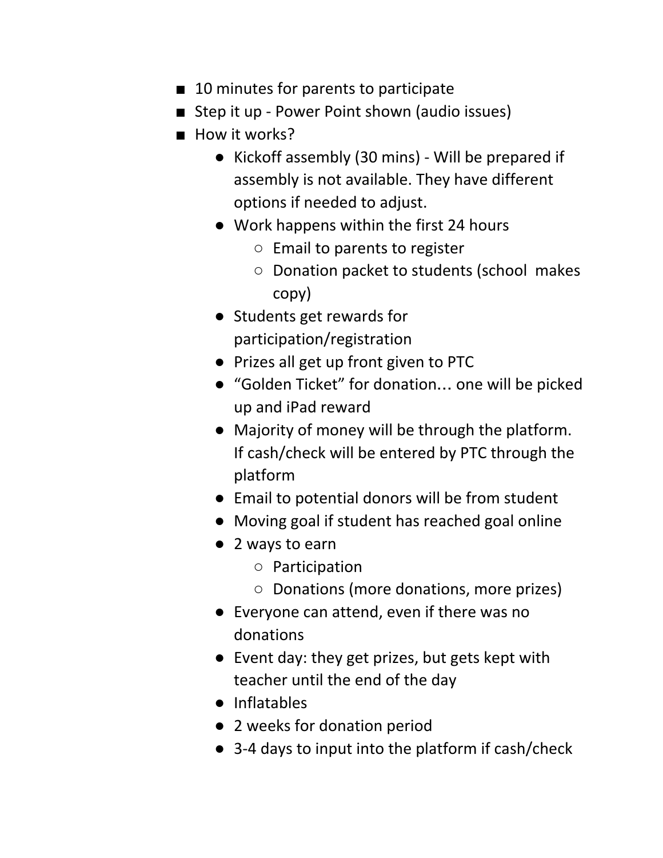- 10 minutes for parents to participate
- Step it up Power Point shown (audio issues)
- How it works?
	- Kickoff assembly (30 mins) Will be prepared if assembly is not available. They have different options if needed to adjust.
	- Work happens within the first 24 hours
		- Email to parents to register
		- Donation packet to students (school makes copy)
	- Students get rewards for participation/registration
	- Prizes all get up front given to PTC
	- "Golden Ticket" for donation… one will be picked up and iPad reward
	- Majority of money will be through the platform. If cash/check will be entered by PTC through the platform
	- Email to potential donors will be from student
	- Moving goal if student has reached goal online
	- 2 ways to earn
		- Participation
		- Donations (more donations, more prizes)
	- Everyone can attend, even if there was no donations
	- Event day: they get prizes, but gets kept with teacher until the end of the day
	- Inflatables
	- 2 weeks for donation period
	- 3-4 days to input into the platform if cash/check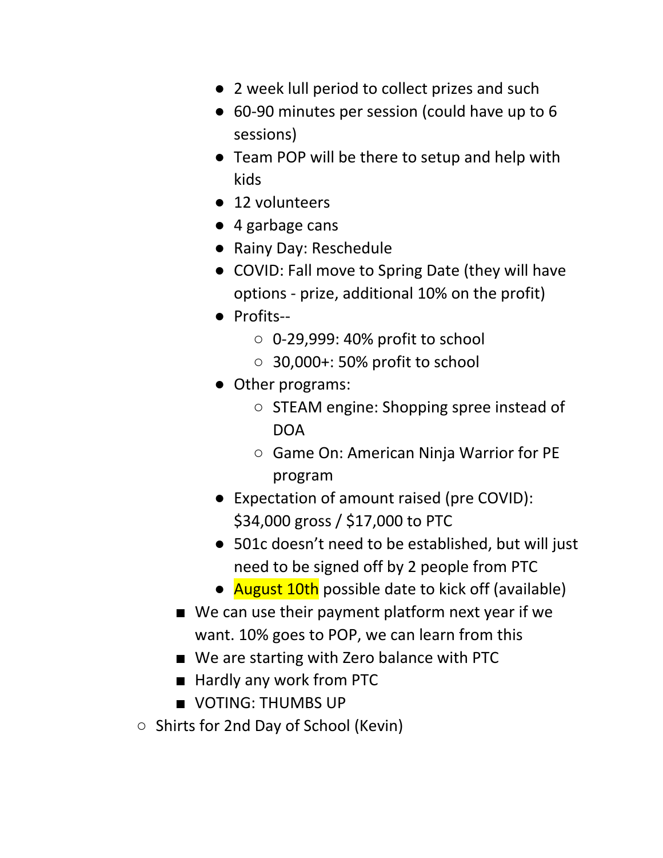- 2 week lull period to collect prizes and such
- 60-90 minutes per session (could have up to 6 sessions)
- Team POP will be there to setup and help with kids
- 12 volunteers
- 4 garbage cans
- Rainy Day: Reschedule
- COVID: Fall move to Spring Date (they will have options - prize, additional 10% on the profit)
- Profits--
	- $\circ$  0-29,999: 40% profit to school
	- 30,000+: 50% profit to school
- Other programs:
	- STEAM engine: Shopping spree instead of DOA
	- Game On: American Ninja Warrior for PE program
- Expectation of amount raised (pre COVID): \$34,000 gross / \$17,000 to PTC
- 501c doesn't need to be established, but will just need to be signed off by 2 people from PTC
- **August 10th** possible date to kick off (available)
- We can use their payment platform next year if we want. 10% goes to POP, we can learn from this
- We are starting with Zero balance with PTC
- Hardly any work from PTC
- VOTING: THUMBS UP
- Shirts for 2nd Day of School (Kevin)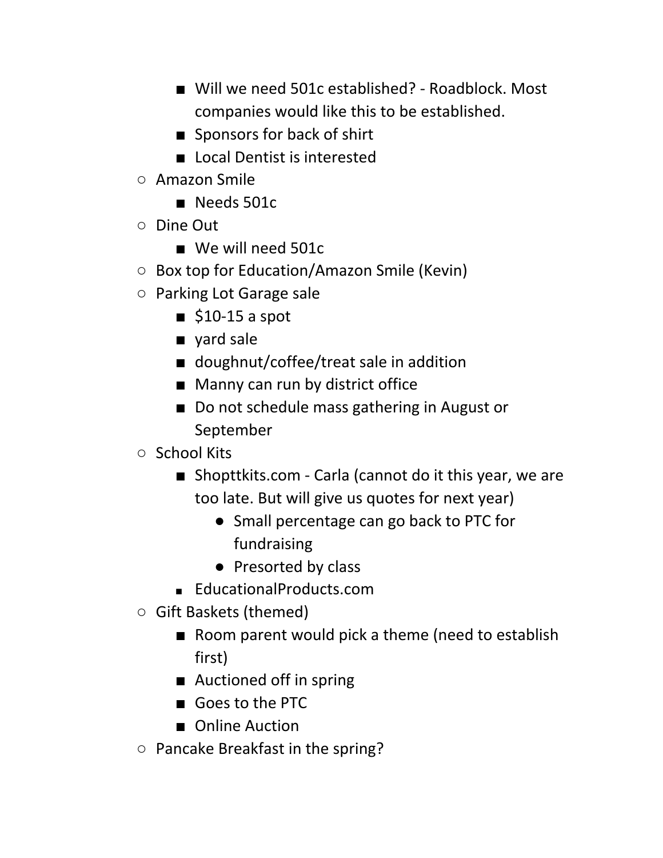- Will we need 501c established? Roadblock. Most companies would like this to be established.
- Sponsors for back of shirt
- Local Dentist is interested
- Amazon Smile
	- Needs 501c
- Dine Out
	- We will need 501c
- Box top for Education/Amazon Smile (Kevin)
- Parking Lot Garage sale
	- $\blacksquare$  \$10-15 a spot
	- yard sale
	- doughnut/coffee/treat sale in addition
	- Manny can run by district office
	- Do not schedule mass gathering in August or September
- School Kits
	- Shopttkits.com Carla (cannot do it this year, we are too late. But will give us quotes for next year)
		- Small percentage can go back to PTC for fundraising
		- Presorted by class
	- EducationalProducts.com
- Gift Baskets (themed)
	- Room parent would pick a theme (need to establish first)
	- Auctioned off in spring
	- Goes to the PTC
	- Online Auction
- Pancake Breakfast in the spring?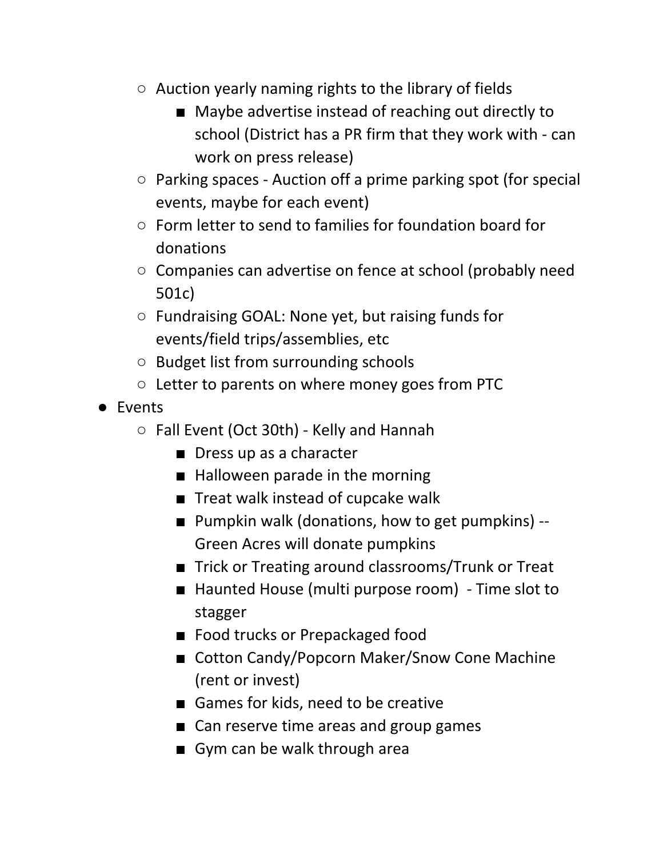- Auction yearly naming rights to the library of fields
	- Maybe advertise instead of reaching out directly to school (District has a PR firm that they work with - can work on press release)
- Parking spaces Auction off a prime parking spot (for special events, maybe for each event)
- Form letter to send to families for foundation board for donations
- Companies can advertise on fence at school (probably need 501c)
- Fundraising GOAL: None yet, but raising funds for events/field trips/assemblies, etc
- Budget list from surrounding schools
- Letter to parents on where money goes from PTC
- Events
	- Fall Event (Oct 30th) Kelly and Hannah
		- Dress up as a character
		- Halloween parade in the morning
		- Treat walk instead of cupcake walk
		- Pumpkin walk (donations, how to get pumpkins) --Green Acres will donate pumpkins
		- Trick or Treating around classrooms/Trunk or Treat
		- Haunted House (multi purpose room) Time slot to stagger
		- Food trucks or Prepackaged food
		- Cotton Candy/Popcorn Maker/Snow Cone Machine (rent or invest)
		- Games for kids, need to be creative
		- Can reserve time areas and group games
		- Gym can be walk through area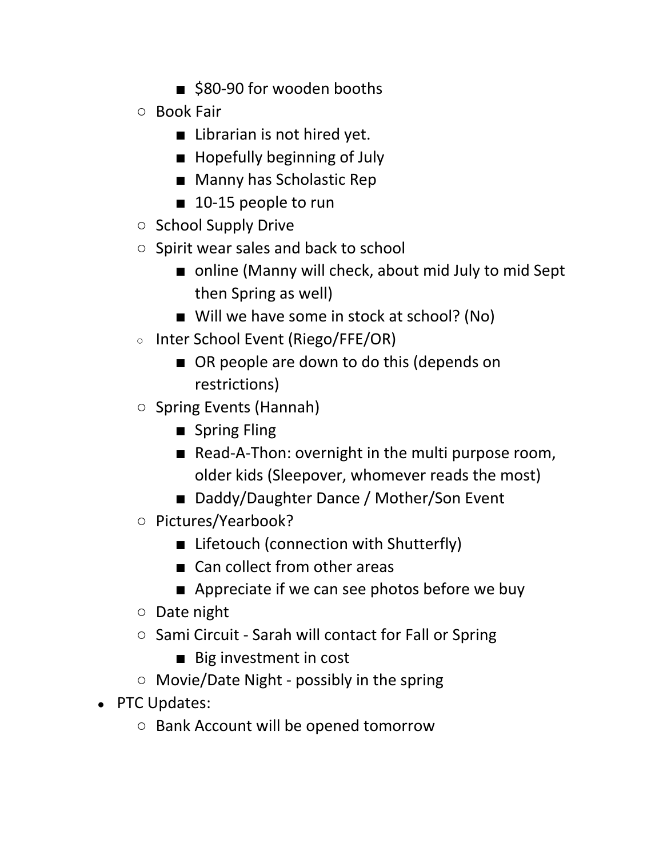- \$80-90 for wooden booths
- Book Fair
	- Librarian is not hired yet.
	- Hopefully beginning of July
	- Manny has Scholastic Rep
	- 10-15 people to run
- School Supply Drive
- Spirit wear sales and back to school
	- online (Manny will check, about mid July to mid Sept then Spring as well)
	- Will we have some in stock at school? (No)
- Inter School Event (Riego/FFE/OR)
	- OR people are down to do this (depends on restrictions)
- Spring Events (Hannah)
	- Spring Fling
	- Read-A-Thon: overnight in the multi purpose room, older kids (Sleepover, whomever reads the most)
	- Daddy/Daughter Dance / Mother/Son Event
- Pictures/Yearbook?
	- Lifetouch (connection with Shutterfly)
	- Can collect from other areas
	- Appreciate if we can see photos before we buy
- Date night
- Sami Circuit Sarah will contact for Fall or Spring
	- Big investment in cost
- Movie/Date Night possibly in the spring
- PTC Updates:
	- Bank Account will be opened tomorrow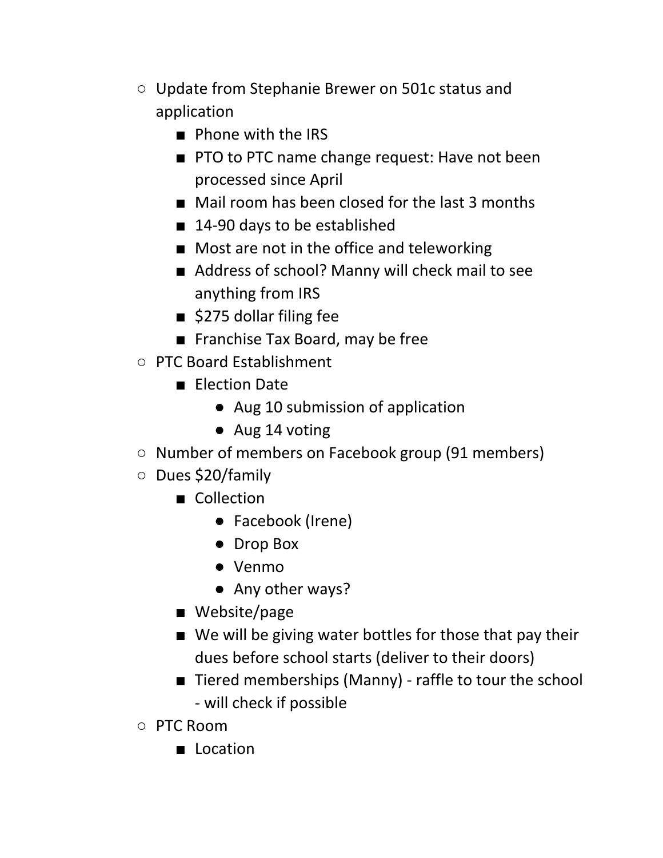- Update from Stephanie Brewer on 501c status and application
	- Phone with the IRS
	- PTO to PTC name change request: Have not been processed since April
	- Mail room has been closed for the last 3 months
	- 14-90 days to be established
	- Most are not in the office and teleworking
	- Address of school? Manny will check mail to see anything from IRS
	- \$275 dollar filing fee
	- Franchise Tax Board, may be free
- PTC Board Establishment
	- Election Date
		- Aug 10 submission of application
		- Aug 14 voting
- Number of members on Facebook group (91 members)
- Dues \$20/family
	- Collection
		- Facebook (Irene)
		- Drop Box
		- Venmo
		- Any other ways?
	- Website/page
	- We will be giving water bottles for those that pay their dues before school starts (deliver to their doors)
	- Tiered memberships (Manny) raffle to tour the school - will check if possible
- PTC Room
	- Location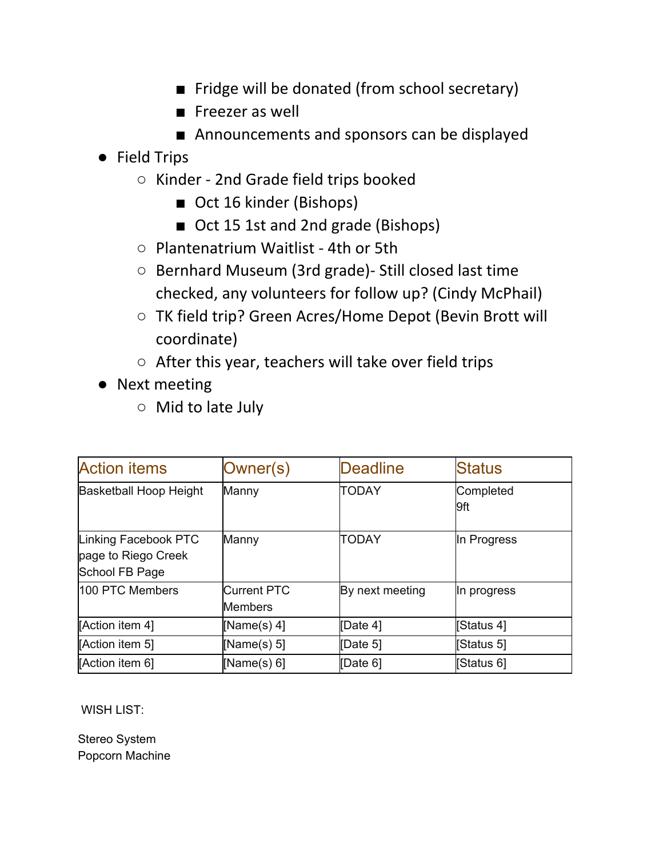- Fridge will be donated (from school secretary)
- Freezer as well
- Announcements and sponsors can be displayed
- Field Trips
	- Kinder 2nd Grade field trips booked
		- Oct 16 kinder (Bishops)
		- Oct 15 1st and 2nd grade (Bishops)
	- Plantenatrium Waitlist 4th or 5th
	- Bernhard Museum (3rd grade)- Still closed last time checked, any volunteers for follow up? (Cindy McPhail)
	- TK field trip? Green Acres/Home Depot (Bevin Brott will coordinate)
	- After this year, teachers will take over field trips
- Next meeting
	- Mid to late July

| <b>Action items</b>                                           | Owner(s)                             | <b>Deadline</b> | Status            |
|---------------------------------------------------------------|--------------------------------------|-----------------|-------------------|
| <b>Basketball Hoop Height</b>                                 | Manny                                | <b>TODAY</b>    | Completed<br>l9ft |
| Linking Facebook PTC<br>page to Riego Creek<br>School FB Page | Manny                                | <b>TODAY</b>    | In Progress       |
| 100 PTC Members                                               | <b>Current PTC</b><br><b>Members</b> | By next meeting | In progress       |
| [Action item 4]                                               | [Name(s) $4$ ]                       | Date 4]         | [Status 4]        |
| [Action item 5]                                               | [Name(s) $5$ ]                       | Date 5]         | [Status 5]        |
| [Action item 6]                                               | [Name(s) $6$ ]                       | [Date 6]        | [Status 6]        |

WISH LIST:

Stereo System Popcorn Machine